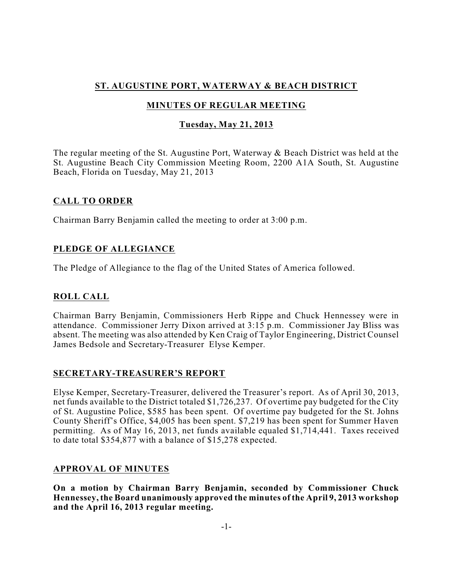# **ST. AUGUSTINE PORT, WATERWAY & BEACH DISTRICT**

# **MINUTES OF REGULAR MEETING**

## **Tuesday, May 21, 2013**

The regular meeting of the St. Augustine Port, Waterway & Beach District was held at the St. Augustine Beach City Commission Meeting Room, 2200 A1A South, St. Augustine Beach, Florida on Tuesday, May 21, 2013

## **CALL TO ORDER**

Chairman Barry Benjamin called the meeting to order at 3:00 p.m.

## **PLEDGE OF ALLEGIANCE**

The Pledge of Allegiance to the flag of the United States of America followed.

# **ROLL CALL**

Chairman Barry Benjamin, Commissioners Herb Rippe and Chuck Hennessey were in attendance. Commissioner Jerry Dixon arrived at 3:15 p.m. Commissioner Jay Bliss was absent. The meeting was also attended by Ken Craig of Taylor Engineering, District Counsel James Bedsole and Secretary-Treasurer Elyse Kemper.

## **SECRETARY-TREASURER'S REPORT**

Elyse Kemper, Secretary-Treasurer, delivered the Treasurer's report. As of April 30, 2013, net funds available to the District totaled \$1,726,237. Of overtime pay budgeted for the City of St. Augustine Police, \$585 has been spent. Of overtime pay budgeted for the St. Johns County Sheriff's Office, \$4,005 has been spent. \$7,219 has been spent for Summer Haven permitting. As of May 16, 2013, net funds available equaled \$1,714,441. Taxes received to date total \$354,877 with a balance of \$15,278 expected.

## **APPROVAL OF MINUTES**

**On a motion by Chairman Barry Benjamin, seconded by Commissioner Chuck Hennessey, the Board unanimously approved the minutes of the April 9, 2013 workshop and the April 16, 2013 regular meeting.**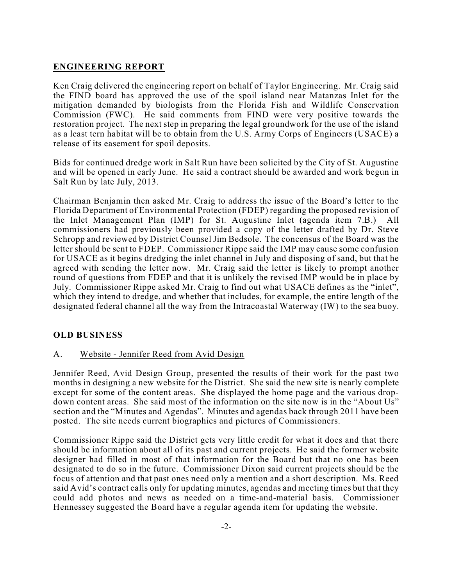## **ENGINEERING REPORT**

Ken Craig delivered the engineering report on behalf of Taylor Engineering. Mr. Craig said the FIND board has approved the use of the spoil island near Matanzas Inlet for the mitigation demanded by biologists from the Florida Fish and Wildlife Conservation Commission (FWC). He said comments from FIND were very positive towards the restoration project. The next step in preparing the legal groundwork for the use of the island as a least tern habitat will be to obtain from the U.S. Army Corps of Engineers (USACE) a release of its easement for spoil deposits.

Bids for continued dredge work in Salt Run have been solicited by the City of St. Augustine and will be opened in early June. He said a contract should be awarded and work begun in Salt Run by late July, 2013.

Chairman Benjamin then asked Mr. Craig to address the issue of the Board's letter to the Florida Department of Environmental Protection (FDEP) regarding the proposed revision of the Inlet Management Plan (IMP) for St. Augustine Inlet (agenda item 7.B.) All commissioners had previously been provided a copy of the letter drafted by Dr. Steve Schropp and reviewed by District Counsel Jim Bedsole. The concensus of the Board was the letter should be sent to FDEP. Commissioner Rippe said the IMP may cause some confusion for USACE as it begins dredging the inlet channel in July and disposing of sand, but that he agreed with sending the letter now. Mr. Craig said the letter is likely to prompt another round of questions from FDEP and that it is unlikely the revised IMP would be in place by July. Commissioner Rippe asked Mr. Craig to find out what USACE defines as the "inlet", which they intend to dredge, and whether that includes, for example, the entire length of the designated federal channel all the way from the Intracoastal Waterway (IW) to the sea buoy.

## **OLD BUSINESS**

#### A. Website - Jennifer Reed from Avid Design

Jennifer Reed, Avid Design Group, presented the results of their work for the past two months in designing a new website for the District. She said the new site is nearly complete except for some of the content areas. She displayed the home page and the various dropdown content areas. She said most of the information on the site now is in the "About Us" section and the "Minutes and Agendas". Minutes and agendas back through 2011 have been posted. The site needs current biographies and pictures of Commissioners.

Commissioner Rippe said the District gets very little credit for what it does and that there should be information about all of its past and current projects. He said the former website designer had filled in most of that information for the Board but that no one has been designated to do so in the future. Commissioner Dixon said current projects should be the focus of attention and that past ones need only a mention and a short description. Ms. Reed said Avid's contract calls only for updating minutes, agendas and meeting times but that they could add photos and news as needed on a time-and-material basis. Commissioner Hennessey suggested the Board have a regular agenda item for updating the website.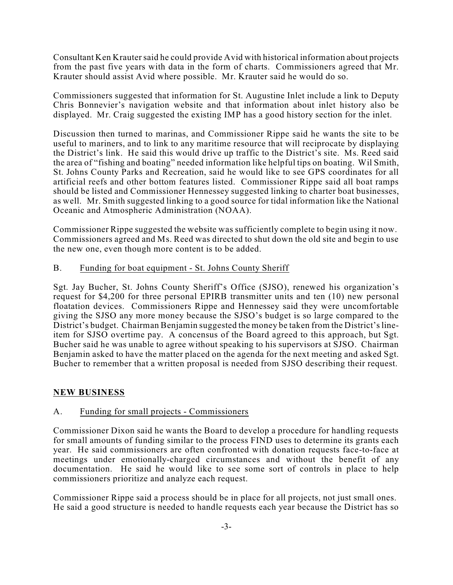Consultant Ken Krauter said he could provide Avid with historical information about projects from the past five years with data in the form of charts. Commissioners agreed that Mr. Krauter should assist Avid where possible. Mr. Krauter said he would do so.

Commissioners suggested that information for St. Augustine Inlet include a link to Deputy Chris Bonnevier's navigation website and that information about inlet history also be displayed. Mr. Craig suggested the existing IMP has a good history section for the inlet.

Discussion then turned to marinas, and Commissioner Rippe said he wants the site to be useful to mariners, and to link to any maritime resource that will reciprocate by displaying the District's link. He said this would drive up traffic to the District's site. Ms. Reed said the area of "fishing and boating" needed information like helpful tips on boating. Wil Smith, St. Johns County Parks and Recreation, said he would like to see GPS coordinates for all artificial reefs and other bottom features listed. Commissioner Rippe said all boat ramps should be listed and Commissioner Hennessey suggested linking to charter boat businesses, as well. Mr. Smith suggested linking to a good source for tidal information like the National Oceanic and Atmospheric Administration (NOAA).

Commissioner Rippe suggested the website was sufficiently complete to begin using it now. Commissioners agreed and Ms. Reed was directed to shut down the old site and begin to use the new one, even though more content is to be added.

#### B. Funding for boat equipment - St. Johns County Sheriff

Sgt. Jay Bucher, St. Johns County Sheriff's Office (SJSO), renewed his organization's request for \$4,200 for three personal EPIRB transmitter units and ten (10) new personal floatation devices. Commissioners Rippe and Hennessey said they were uncomfortable giving the SJSO any more money because the SJSO's budget is so large compared to the District's budget. Chairman Benjamin suggested the money be taken from the District's lineitem for SJSO overtime pay. A concensus of the Board agreed to this approach, but Sgt. Bucher said he was unable to agree without speaking to his supervisors at SJSO. Chairman Benjamin asked to have the matter placed on the agenda for the next meeting and asked Sgt. Bucher to remember that a written proposal is needed from SJSO describing their request.

#### **NEW BUSINESS**

#### A. Funding for small projects - Commissioners

Commissioner Dixon said he wants the Board to develop a procedure for handling requests for small amounts of funding similar to the process FIND uses to determine its grants each year. He said commissioners are often confronted with donation requests face-to-face at meetings under emotionally-charged circumstances and without the benefit of any documentation. He said he would like to see some sort of controls in place to help commissioners prioritize and analyze each request.

Commissioner Rippe said a process should be in place for all projects, not just small ones. He said a good structure is needed to handle requests each year because the District has so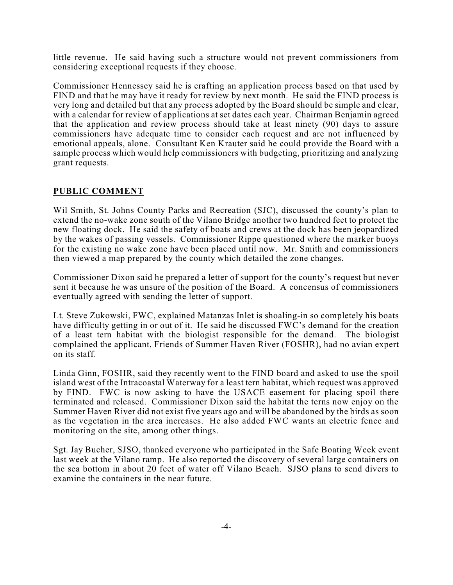little revenue. He said having such a structure would not prevent commissioners from considering exceptional requests if they choose.

Commissioner Hennessey said he is crafting an application process based on that used by FIND and that he may have it ready for review by next month. He said the FIND process is very long and detailed but that any process adopted by the Board should be simple and clear, with a calendar for review of applications at set dates each year. Chairman Benjamin agreed that the application and review process should take at least ninety (90) days to assure commissioners have adequate time to consider each request and are not influenced by emotional appeals, alone. Consultant Ken Krauter said he could provide the Board with a sample process which would help commissioners with budgeting, prioritizing and analyzing grant requests.

## **PUBLIC COMMENT**

Wil Smith, St. Johns County Parks and Recreation (SJC), discussed the county's plan to extend the no-wake zone south of the Vilano Bridge another two hundred feet to protect the new floating dock. He said the safety of boats and crews at the dock has been jeopardized by the wakes of passing vessels. Commissioner Rippe questioned where the marker buoys for the existing no wake zone have been placed until now. Mr. Smith and commissioners then viewed a map prepared by the county which detailed the zone changes.

Commissioner Dixon said he prepared a letter of support for the county's request but never sent it because he was unsure of the position of the Board. A concensus of commissioners eventually agreed with sending the letter of support.

Lt. Steve Zukowski, FWC, explained Matanzas Inlet is shoaling-in so completely his boats have difficulty getting in or out of it. He said he discussed FWC's demand for the creation of a least tern habitat with the biologist responsible for the demand. The biologist complained the applicant, Friends of Summer Haven River (FOSHR), had no avian expert on its staff.

Linda Ginn, FOSHR, said they recently went to the FIND board and asked to use the spoil island west of the Intracoastal Waterway for a least tern habitat, which request was approved by FIND. FWC is now asking to have the USACE easement for placing spoil there terminated and released. Commissioner Dixon said the habitat the terns now enjoy on the Summer Haven River did not exist five years ago and will be abandoned by the birds as soon as the vegetation in the area increases. He also added FWC wants an electric fence and monitoring on the site, among other things.

Sgt. Jay Bucher, SJSO, thanked everyone who participated in the Safe Boating Week event last week at the Vilano ramp. He also reported the discovery of several large containers on the sea bottom in about 20 feet of water off Vilano Beach. SJSO plans to send divers to examine the containers in the near future.